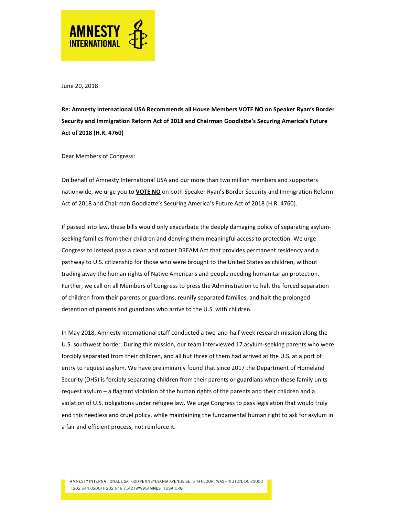

June 20, 2018

Re: Amnesty International USA Recommends all House Members VOTE NO on Speaker Ryan's Border Security and Immigration Reform Act of 2018 and Chairman Goodlatte's Securing America's Future Act of 2018 (H.R. 4760)

Dear Members of Congress:

On behalf of Amnesty International USA and our more than two million members and supporters nationwide, we urge you to **VOTE NO** on both Speaker Ryan's Border Security and Immigration Reform Act of 2018 and Chairman Goodlatte's Securing America's Future Act of 2018 (H.R. 4760).

If passed into law, these bills would only exacerbate the deeply damaging policy of separating asylumseeking families from their children and denying them meaningful access to protection. We urge Congress to instead pass a clean and robust DREAM Act that provides permanent residency and a pathway to U.S. citizenship for those who were brought to the United States as children, without trading away the human rights of Native Americans and people needing humanitarian protection. Further, we call on all Members of Congress to press the Administration to halt the forced separation of children from their parents or guardians, reunify separated families, and halt the prolonged detention of parents and guardians who arrive to the U.S. with children.

In May 2018, Amnesty International staff conducted a two-and-half week research mission along the U.S. southwest border. During this mission, our team interviewed 17 asylum-seeking parents who were forcibly separated from their children, and all but three of them had arrived at the U.S. at a port of entry to request asylum. We have preliminarily found that since 2017 the Department of Homeland Security (DHS) is forcibly separating children from their parents or guardians when these family units request asylum – a flagrant violation of the human rights of the parents and their children and a violation of U.S. obligations under refugee law. We urge Congress to pass legislation that would truly end this needless and cruel policy, while maintaining the fundamental human right to ask for asylum in a fair and efficient process, not reinforce it.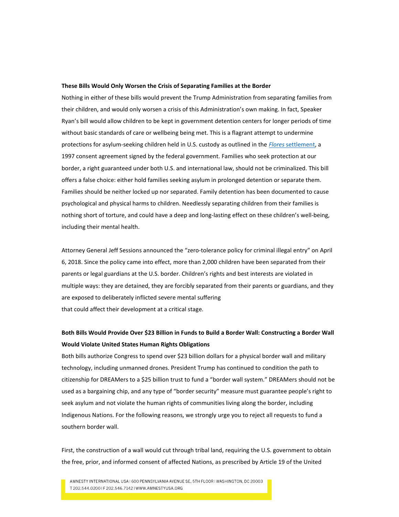## These Bills Would Only Worsen the Crisis of Separating Families at the Border

Nothing in either of these bills would prevent the Trump Administration from separating families from their children, and would only worsen a crisis of this Administration's own making. In fact, Speaker Ryan's bill would allow children to be kept in government detention centers for longer periods of time without basic standards of care or wellbeing being met. This is a flagrant attempt to undermine protections for asylum-seeking children held in U.S. custody as outlined in the *Flores* settlement, a 1997 consent agreement signed by the federal government. Families who seek protection at our border, a right guaranteed under both U.S. and international law, should not be criminalized. This bill offers a false choice: either hold families seeking asylum in prolonged detention or separate them. Families should be neither locked up nor separated. Family detention has been documented to cause psychological and physical harms to children. Needlessly separating children from their families is nothing short of torture, and could have a deep and long-lasting effect on these children's well-being, including their mental health.

Attorney General Jeff Sessions announced the "zero-tolerance policy for criminal illegal entry" on April 6, 2018. Since the policy came into effect, more than 2,000 children have been separated from their parents or legal guardians at the U.S. border. Children's rights and best interests are violated in multiple ways: they are detained, they are forcibly separated from their parents or guardians, and they are exposed to deliberately inflicted severe mental suffering that could affect their development at a critical stage.

## Both Bills Would Provide Over \$23 Billion in Funds to Build a Border Wall: Constructing a Border Wall Would Violate United States Human Rights Obligations

Both bills authorize Congress to spend over \$23 billion dollars for a physical border wall and military technology, including unmanned drones. President Trump has continued to condition the path to citizenship for DREAMers to a \$25 billion trust to fund a "border wall system." DREAMers should not be used as a bargaining chip, and any type of "border security" measure must guarantee people's right to seek asylum and not violate the human rights of communities living along the border, including Indigenous Nations. For the following reasons, we strongly urge you to reject all requests to fund a southern border wall.

First, the construction of a wall would cut through tribal land, requiring the U.S. government to obtain the free, prior, and informed consent of affected Nations, as prescribed by Article 19 of the United

AMNESTY INTERNATIONAL USA 1600 PENNSYLVANIA AVENUE SE, 5TH FLOOR I WASHINGTON, DC 20003 T 202.544.02001F 202.546.71421 WWW.AMNESTYUSA.ORG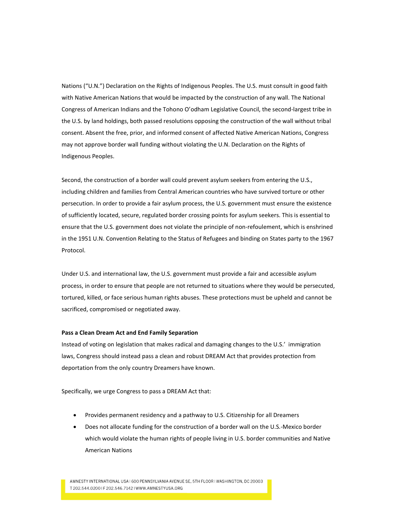Nations ("U.N.") Declaration on the Rights of Indigenous Peoples. The U.S. must consult in good faith with Native American Nations that would be impacted by the construction of any wall. The National Congress of American Indians and the Tohono O'odham Legislative Council, the second-largest tribe in the U.S. by land holdings, both passed resolutions opposing the construction of the wall without tribal consent. Absent the free, prior, and informed consent of affected Native American Nations, Congress may not approve border wall funding without violating the U.N. Declaration on the Rights of Indigenous Peoples.

Second, the construction of a border wall could prevent asylum seekers from entering the U.S., including children and families from Central American countries who have survived torture or other persecution. In order to provide a fair asylum process, the U.S. government must ensure the existence of sufficiently located, secure, regulated border crossing points for asylum seekers. This is essential to ensure that the U.S. government does not violate the principle of non-refoulement, which is enshrined in the 1951 U.N. Convention Relating to the Status of Refugees and binding on States party to the 1967 Protocol.

Under U.S. and international law, the U.S. government must provide a fair and accessible asylum process, in order to ensure that people are not returned to situations where they would be persecuted, tortured, killed, or face serious human rights abuses. These protections must be upheld and cannot be sacrificed, compromised or negotiated away.

## Pass a Clean Dream Act and End Family Separation

Instead of voting on legislation that makes radical and damaging changes to the U.S.' immigration laws, Congress should instead pass a clean and robust DREAM Act that provides protection from deportation from the only country Dreamers have known.

Specifically, we urge Congress to pass a DREAM Act that:

- Provides permanent residency and a pathway to U.S. Citizenship for all Dreamers
- Does not allocate funding for the construction of a border wall on the U.S.-Mexico border which would violate the human rights of people living in U.S. border communities and Native American Nations

AMNESTY INTERNATIONAL USA 1600 PENNSYLVANIA AVENUE SE, 5TH FLOOR I WASHINGTON, DC 20003 T 202.544.02001F 202.546.71421WWW.AMNESTYUSA.ORG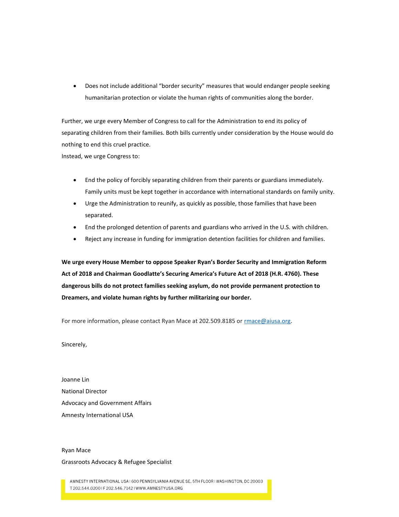Does not include additional "border security" measures that would endanger people seeking humanitarian protection or violate the human rights of communities along the border.

Further, we urge every Member of Congress to call for the Administration to end its policy of separating children from their families. Both bills currently under consideration by the House would do nothing to end this cruel practice. Instead, we urge Congress to:

 End the policy of forcibly separating children from their parents or guardians immediately. Family units must be kept together in accordance with international standards on family unity.

- Urge the Administration to reunify, as quickly as possible, those families that have been separated.
- End the prolonged detention of parents and guardians who arrived in the U.S. with children.
- Reject any increase in funding for immigration detention facilities for children and families.

We urge every House Member to oppose Speaker Ryan's Border Security and Immigration Reform Act of 2018 and Chairman Goodlatte's Securing America's Future Act of 2018 (H.R. 4760). These dangerous bills do not protect families seeking asylum, do not provide permanent protection to Dreamers, and violate human rights by further militarizing our border.

For more information, please contact Ryan Mace at 202.509.8185 or rmace@aiusa.org.

Sincerely,

Joanne Lin National Director Advocacy and Government Affairs Amnesty International USA

## Ryan Mace Grassroots Advocacy & Refugee Specialist

AMNESTY INTERNATIONAL USA 1600 PENNSYLVANIA AVENUE SE, 5TH FLOOR I WASHINGTON, DC 20003 T 202.544.02001F 202.546.71421 WWW.AMNESTYUSA.ORG